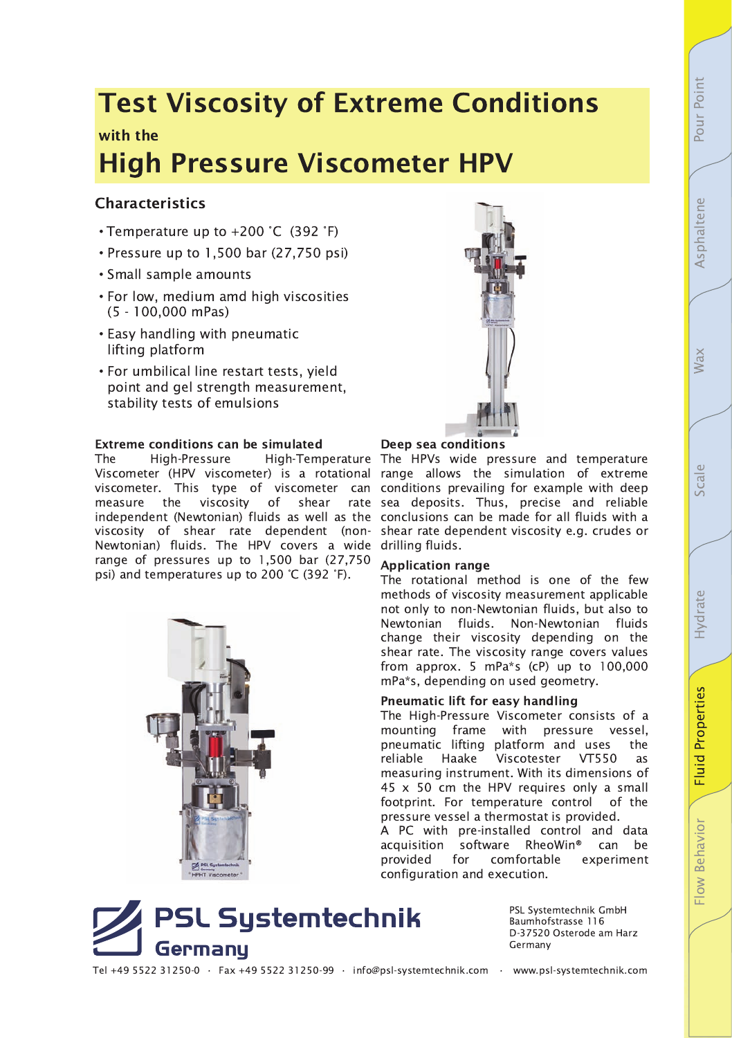# **Test Viscosity of Extreme Conditions**

# with the **High Pressure Viscometer HPV**

## **Characteristics**

- Temperature up to +200 °C (392 °F)
- Pressure up to 1,500 bar (27,750 psi)
- Small sample amounts
- For low, medium amd high viscosities  $(5 - 100,000$  mPas)
- Easy handling with pneumatic lifting platform
- For umbilical line restart tests, yield point and gel strength measurement, stability tests of emulsions

### **Extreme conditions can be simulated**

High-Pressure **The** Viscometer (HPV viscometer) is a rotational range allows the simulation of extreme viscometer. This type of viscometer can conditions prevailing for example with deep measure the viscosity of shear independent (Newtonian) fluids as well as the conclusions can be made for all fluids with a viscosity of shear rate dependent (non-Newtonian) fluids. The HPV covers a wide range of pressures up to 1,500 bar (27,750 psi) and temperatures up to 200 °C (392 °F).





### Deep sea conditions

High-Temperature The HPVs wide pressure and temperature rate sea deposits. Thus, precise and reliable shear rate dependent viscosity e.g. crudes or drilling fluids.

### **Application range**

The rotational method is one of the few methods of viscosity measurement applicable not only to non-Newtonian fluids, but also to Newtonian fluids. Non-Newtonian fluids change their viscosity depending on the shear rate. The viscosity range covers values from approx. 5 mPa\*s (cP) up to  $100,000$ mPa\*s, depending on used geometry.

### Pneumatic lift for easy handling

The High-Pressure Viscometer consists of a mounting frame with pressure vessel. pneumatic lifting platform and uses the Haake Viscotester VT550 reliable  $a<sub>s</sub>$ measuring instrument. With its dimensions of 45 x 50 cm the HPV requires only a small footprint. For temperature control of the pressure vessel a thermostat is provided. A PC with pre-installed control and data acquisition software RheoWin® can be

experiment provided for comfortable configuration and execution.



PSL Systemtechnik GmbH Baumhofstrasse 116 D-37520 Osterode am Harz Germany

Hydrate